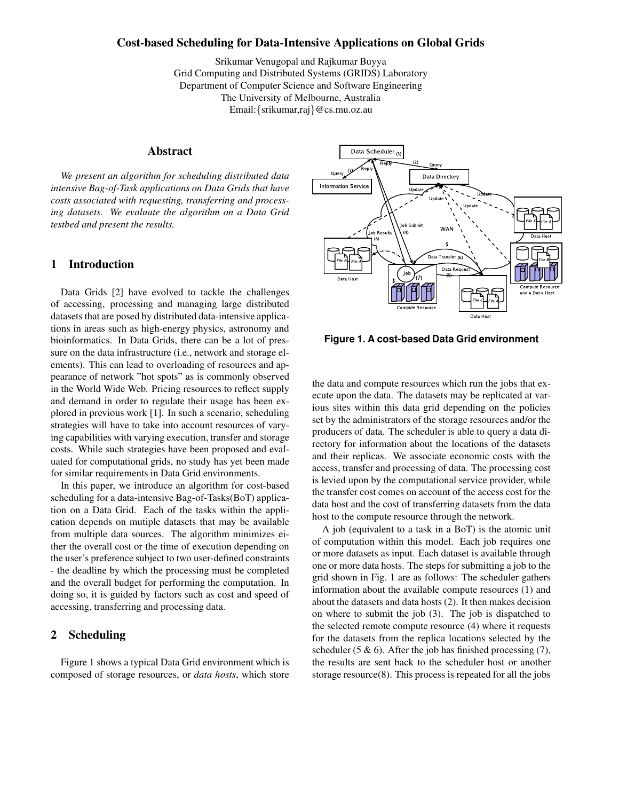### **Cost-based Scheduling for Data-Intensive Applications on Global Grids**

Srikumar Venugopal and Rajkumar Buyya Grid Computing and Distributed Systems (GRIDS) Laboratory Department of Computer Science and Software Engineering The University of Melbourne, Australia Email:{srikumar,raj}@cs.mu.oz.au

## **Abstract**

*We present an algorithm for scheduling distributed data intensive Bag-of-Task applications on Data Grids that have costs associated with requesting, transferring and processing datasets. We evaluate the algorithm on a Data Grid testbed and present the results.*

### **1 Introduction**

Data Grids [2] have evolved to tackle the challenges of accessing, processing and managing large distributed datasets that are posed by distributed data-intensive applications in areas such as high-energy physics, astronomy and bioinformatics. In Data Grids, there can be a lot of pressure on the data infrastructure (i.e., network and storage elements). This can lead to overloading of resources and appearance of network "hot spots" as is commonly observed in the World Wide Web. Pricing resources to reflect supply and demand in order to regulate their usage has been explored in previous work [1]. In such a scenario, scheduling strategies will have to take into account resources of varying capabilities with varying execution, transfer and storage costs. While such strategies have been proposed and evaluated for computational grids, no study has yet been made for similar requirements in Data Grid environments.

In this paper, we introduce an algorithm for cost-based scheduling for a data-intensive Bag-of-Tasks(BoT) application on a Data Grid. Each of the tasks within the application depends on mutiple datasets that may be available from multiple data sources. The algorithm minimizes either the overall cost or the time of execution depending on the user's preference subject to two user-defined constraints - the deadline by which the processing must be completed and the overall budget for performing the computation. In doing so, it is guided by factors such as cost and speed of accessing, transferring and processing data.

# **2 Scheduling**

Figure 1 shows a typical Data Grid environment which is composed of storage resources, or *data hosts*, which store



**Figure 1. A cost-based Data Grid environment**

the data and compute resources which run the jobs that execute upon the data. The datasets may be replicated at various sites within this data grid depending on the policies set by the administrators of the storage resources and/or the producers of data. The scheduler is able to query a data directory for information about the locations of the datasets and their replicas. We associate economic costs with the access, transfer and processing of data. The processing cost is levied upon by the computational service provider, while the transfer cost comes on account of the access cost for the data host and the cost of transferring datasets from the data host to the compute resource through the network.

A job (equivalent to a task in a BoT) is the atomic unit of computation within this model. Each job requires one or more datasets as input. Each dataset is available through one or more data hosts. The steps for submitting a job to the grid shown in Fig. 1 are as follows: The scheduler gathers information about the available compute resources (1) and about the datasets and data hosts (2). It then makes decision on where to submit the job (3). The job is dispatched to the selected remote compute resource (4) where it requests for the datasets from the replica locations selected by the scheduler (5  $\&$  6). After the job has finished processing (7), the results are sent back to the scheduler host or another storage resource(8). This process is repeated for all the jobs